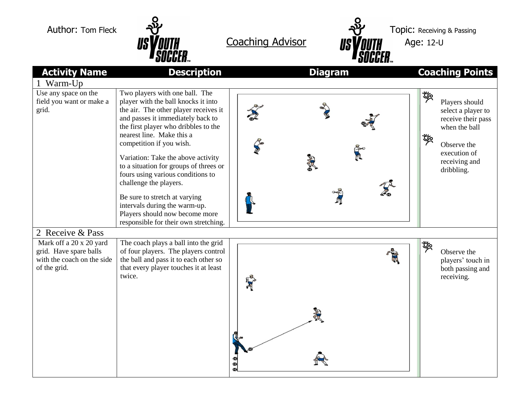



|                                                                                                 | UUUULII™                                                                                                                                                                                                                                             | UUUULII™       |                                                                                                      |
|-------------------------------------------------------------------------------------------------|------------------------------------------------------------------------------------------------------------------------------------------------------------------------------------------------------------------------------------------------------|----------------|------------------------------------------------------------------------------------------------------|
| <b>Activity Name</b>                                                                            | <b>Description</b>                                                                                                                                                                                                                                   | <b>Diagram</b> | <b>Coaching Points</b>                                                                               |
| Warm-Up                                                                                         |                                                                                                                                                                                                                                                      |                |                                                                                                      |
| Use any space on the<br>field you want or make a<br>grid.                                       | Two players with one ball. The<br>player with the ball knocks it into<br>the air. The other player receives it<br>and passes it immediately back to<br>the first player who dribbles to the<br>nearest line. Make this a<br>competition if you wish. |                | 喽<br>Players should<br>select a player to<br>receive their pass<br>when the ball<br>啖<br>Observe the |
|                                                                                                 | Variation: Take the above activity<br>to a situation for groups of threes or<br>fours using various conditions to<br>challenge the players.                                                                                                          |                | execution of<br>receiving and<br>dribbling.                                                          |
|                                                                                                 | Be sure to stretch at varying<br>intervals during the warm-up.<br>Players should now become more<br>responsible for their own stretching.                                                                                                            |                |                                                                                                      |
| 2 Receive & Pass                                                                                |                                                                                                                                                                                                                                                      |                |                                                                                                      |
| Mark off a 20 x 20 yard<br>grid. Have spare balls<br>with the coach on the side<br>of the grid. | The coach plays a ball into the grid<br>of four players. The players control<br>the ball and pass it to each other so<br>that every player touches it at least<br>twice.                                                                             |                | 喽<br>Observe the<br>players' touch in<br>both passing and<br>receiving.                              |
|                                                                                                 |                                                                                                                                                                                                                                                      |                |                                                                                                      |